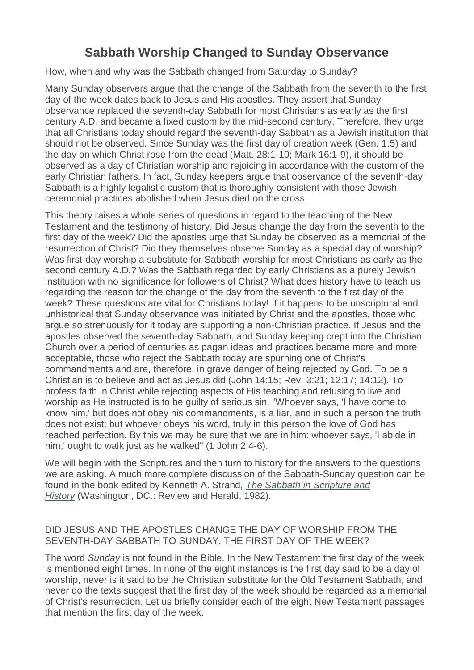# **Sabbath Worship Changed to Sunday Observance**

How, when and why was the Sabbath changed from Saturday to Sunday?

Many Sunday observers argue that the change of the Sabbath from the seventh to the first day of the week dates back to Jesus and His apostles. They assert that Sunday observance replaced the seventh-day Sabbath for most Christians as early as the first century A.D. and became a fixed custom by the mid-second century. Therefore, they urge that all Christians today should regard the seventh-day Sabbath as a Jewish institution that should not be observed. Since Sunday was the first day of creation week (Gen. 1:5) and the day on which Christ rose from the dead (Matt. 28:1-10; Mark 16:1-9), it should be observed as a day of Christian worship and rejoicing in accordance with the custom of the early Christian fathers. In fact, Sunday keepers argue that observance of the seventh-day Sabbath is a highly legalistic custom that is thoroughly consistent with those Jewish ceremonial practices abolished when Jesus died on the cross.

This theory raises a whole series of questions in regard to the teaching of the New Testament and the testimony of history. Did Jesus change the day from the seventh to the first day of the week? Did the apostles urge that Sunday be observed as a memorial of the resurrection of Christ? Did they themselves observe Sunday as a special day of worship? Was first-day worship a substitute for Sabbath worship for most Christians as early as the second century A.D.? Was the Sabbath regarded by early Christians as a purely Jewish institution with no significance for followers of Christ? What does history have to teach us regarding the reason for the change of the day from the seventh to the first day of the week? These questions are vital for Christians today! If it happens to be unscriptural and unhistorical that Sunday observance was initiated by Christ and the apostles, those who argue so strenuously for it today are supporting a non-Christian practice. If Jesus and the apostles observed the seventh-day Sabbath, and Sunday keeping crept into the Christian Church over a period of centuries as pagan ideas and practices became more and more acceptable, those who reject the Sabbath today are spurning one of Christ's commandments and are, therefore, in grave danger of being rejected by God. To be a Christian is to believe and act as Jesus did (John 14:15; Rev. 3:21; 12:17; 14:12). To profess faith in Christ while rejecting aspects of His teaching and refusing to live and worship as He instructed is to be guilty of serious sin. "Whoever says, 'I have come to know him,' but does not obey his commandments, is a liar, and in such a person the truth does not exist; but whoever obeys his word, truly in this person the love of God has reached perfection. By this we may be sure that we are in him: whoever says, 'I abide in him,' ought to walk just as he walked" (1 John 2:4-6).

We will begin with the Scriptures and then turn to history for the answers to the questions we are asking. A much more complete discussion of the Sabbath-Sunday question can be found in the book edited by Kenneth A. Strand, *[The Sabbath in Scripture and](http://www.amazon.com/gp/product/0828000379?ie=UTF8&tag=shsda-20&linkCode=as2&camp=1789&creative=390957&creativeASIN=0828000379)  [History](http://www.amazon.com/gp/product/0828000379?ie=UTF8&tag=shsda-20&linkCode=as2&camp=1789&creative=390957&creativeASIN=0828000379)* (Washington, DC.: Review and Herald, 1982).

## DID JESUS AND THE APOSTLES CHANGE THE DAY OF WORSHIP FROM THE SEVENTH-DAY SABBATH TO SUNDAY, THE FIRST DAY OF THE WEEK?

The word *Sunday* is not found in the Bible. In the New Testament the first day of the week is mentioned eight times. In none of the eight instances is the first day said to be a day of worship, never is it said to be the Christian substitute for the Old Testament Sabbath, and never do the texts suggest that the first day of the week should be regarded as a memorial of Christ's resurrection. Let us briefly consider each of the eight New Testament passages that mention the first day of the week.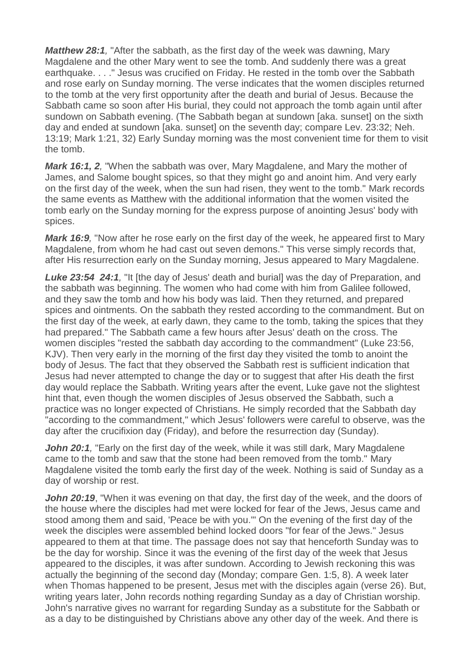*Matthew 28:1,* "After the sabbath, as the first day of the week was dawning, Mary Magdalene and the other Mary went to see the tomb. And suddenly there was a great earthquake. . . ." Jesus was crucified on Friday. He rested in the tomb over the Sabbath and rose early on Sunday morning. The verse indicates that the women disciples returned to the tomb at the very first opportunity after the death and burial of Jesus. Because the Sabbath came so soon after His burial, they could not approach the tomb again until after sundown on Sabbath evening. (The Sabbath began at sundown [aka. sunset] on the sixth day and ended at sundown [aka. sunset] on the seventh day; compare Lev. 23:32; Neh. 13:19; Mark 1:21, 32) Early Sunday morning was the most convenient time for them to visit the tomb.

*Mark 16:1, 2,* "When the sabbath was over, Mary Magdalene, and Mary the mother of James, and Salome bought spices, so that they might go and anoint him. And very early on the first day of the week, when the sun had risen, they went to the tomb." Mark records the same events as Matthew with the additional information that the women visited the tomb early on the Sunday morning for the express purpose of anointing Jesus' body with spices.

*Mark 16:9,* "Now after he rose early on the first day of the week, he appeared first to Mary Magdalene, from whom he had cast out seven demons." This verse simply records that, after His resurrection early on the Sunday morning, Jesus appeared to Mary Magdalene.

*Luke 23:54 24:1,* "It [the day of Jesus' death and burial] was the day of Preparation, and the sabbath was beginning. The women who had come with him from Galilee followed, and they saw the tomb and how his body was laid. Then they returned, and prepared spices and ointments. On the sabbath they rested according to the commandment. But on the first day of the week, at early dawn, they came to the tomb, taking the spices that they had prepared." The Sabbath came a few hours after Jesus' death on the cross. The women disciples "rested the sabbath day according to the commandment" (Luke 23:56, KJV). Then very early in the morning of the first day they visited the tomb to anoint the body of Jesus. The fact that they observed the Sabbath rest is sufficient indication that Jesus had never attempted to change the day or to suggest that after His death the first day would replace the Sabbath. Writing years after the event, Luke gave not the slightest hint that, even though the women disciples of Jesus observed the Sabbath, such a practice was no longer expected of Christians. He simply recorded that the Sabbath day "according to the commandment," which Jesus' followers were careful to observe, was the day after the crucifixion day (Friday), and before the resurrection day (Sunday).

**John 20:1**, "Early on the first day of the week, while it was still dark, Mary Magdalene came to the tomb and saw that the stone had been removed from the tomb." Mary Magdalene visited the tomb early the first day of the week. Nothing is said of Sunday as a day of worship or rest.

*John 20:19*, "When it was evening on that day, the first day of the week, and the doors of the house where the disciples had met were locked for fear of the Jews, Jesus came and stood among them and said, 'Peace be with you.'" On the evening of the first day of the week the disciples were assembled behind locked doors "for fear of the Jews." Jesus appeared to them at that time. The passage does not say that henceforth Sunday was to be the day for worship. Since it was the evening of the first day of the week that Jesus appeared to the disciples, it was after sundown. According to Jewish reckoning this was actually the beginning of the second day (Monday; compare Gen. 1:5, 8). A week later when Thomas happened to be present, Jesus met with the disciples again (verse 26). But, writing years later, John records nothing regarding Sunday as a day of Christian worship. John's narrative gives no warrant for regarding Sunday as a substitute for the Sabbath or as a day to be distinguished by Christians above any other day of the week. And there is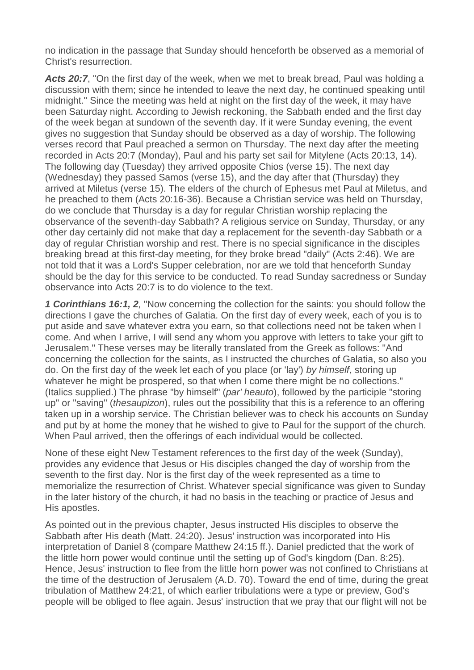no indication in the passage that Sunday should henceforth be observed as a memorial of Christ's resurrection.

*Acts 20:7*, "On the first day of the week, when we met to break bread, Paul was holding a discussion with them; since he intended to leave the next day, he continued speaking until midnight." Since the meeting was held at night on the first day of the week, it may have been Saturday night. According to Jewish reckoning, the Sabbath ended and the first day of the week began at sundown of the seventh day. If it were Sunday evening, the event gives no suggestion that Sunday should be observed as a day of worship. The following verses record that Paul preached a sermon on Thursday. The next day after the meeting recorded in Acts 20:7 (Monday), Paul and his party set sail for Mitylene (Acts 20:13, 14). The following day (Tuesday) they arrived opposite Chios (verse 15). The next day (Wednesday) they passed Samos (verse 15), and the day after that (Thursday) they arrived at Miletus (verse 15). The elders of the church of Ephesus met Paul at Miletus, and he preached to them (Acts 20:16-36). Because a Christian service was held on Thursday, do we conclude that Thursday is a day for regular Christian worship replacing the observance of the seventh-day Sabbath? A religious service on Sunday, Thursday, or any other day certainly did not make that day a replacement for the seventh-day Sabbath or a day of regular Christian worship and rest. There is no special significance in the disciples breaking bread at this first-day meeting, for they broke bread "daily" (Acts 2:46). We are not told that it was a Lord's Supper celebration, nor are we told that henceforth Sunday should be the day for this service to be conducted. To read Sunday sacredness or Sunday observance into Acts 20:7 is to do violence to the text.

*1 Corinthians 16:1, 2,* "Now concerning the collection for the saints: you should follow the directions I gave the churches of Galatia. On the first day of every week, each of you is to put aside and save whatever extra you earn, so that collections need not be taken when I come. And when I arrive, I will send any whom you approve with letters to take your gift to Jerusalem." These verses may be literally translated from the Greek as follows: "And concerning the collection for the saints, as I instructed the churches of Galatia, so also you do. On the first day of the week let each of you place (or 'lay') *by himself*, storing up whatever he might be prospered, so that when I come there might be no collections." (Italics supplied.) The phrase "by himself" (*par' heauto*), followed by the participle "storing up" or "saving" (*thesaupizon*), rules out the possibility that this is a reference to an offering taken up in a worship service. The Christian believer was to check his accounts on Sunday and put by at home the money that he wished to give to Paul for the support of the church. When Paul arrived, then the offerings of each individual would be collected.

None of these eight New Testament references to the first day of the week (Sunday), provides any evidence that Jesus or His disciples changed the day of worship from the seventh to the first day. Nor is the first day of the week represented as a time to memorialize the resurrection of Christ. Whatever special significance was given to Sunday in the later history of the church, it had no basis in the teaching or practice of Jesus and His apostles.

As pointed out in the previous chapter, Jesus instructed His disciples to observe the Sabbath after His death (Matt. 24:20). Jesus' instruction was incorporated into His interpretation of Daniel 8 (compare Matthew 24:15 ff.). Daniel predicted that the work of the little horn power would continue until the setting up of God's kingdom (Dan. 8:25). Hence, Jesus' instruction to flee from the little horn power was not confined to Christians at the time of the destruction of Jerusalem (A.D. 70). Toward the end of time, during the great tribulation of Matthew 24:21, of which earlier tribulations were a type or preview, God's people will be obliged to flee again. Jesus' instruction that we pray that our flight will not be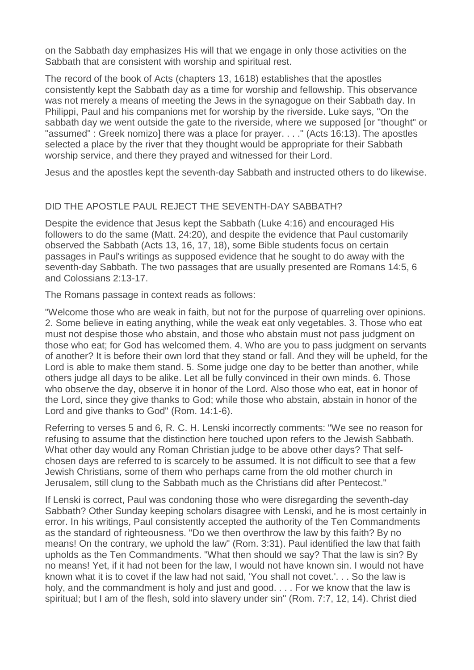on the Sabbath day emphasizes His will that we engage in only those activities on the Sabbath that are consistent with worship and spiritual rest.

The record of the book of Acts (chapters 13, 1618) establishes that the apostles consistently kept the Sabbath day as a time for worship and fellowship. This observance was not merely a means of meeting the Jews in the synagogue on their Sabbath day. In Philippi, Paul and his companions met for worship by the riverside. Luke says, "On the sabbath day we went outside the gate to the riverside, where we supposed [or "thought" or "assumed" : Greek nomizo] there was a place for prayer. . . ." (Acts 16:13). The apostles selected a place by the river that they thought would be appropriate for their Sabbath worship service, and there they prayed and witnessed for their Lord.

Jesus and the apostles kept the seventh-day Sabbath and instructed others to do likewise.

# DID THE APOSTLE PAUL REJECT THE SEVENTH-DAY SABBATH?

Despite the evidence that Jesus kept the Sabbath (Luke 4:16) and encouraged His followers to do the same (Matt. 24:20), and despite the evidence that Paul customarily observed the Sabbath (Acts 13, 16, 17, 18), some Bible students focus on certain passages in Paul's writings as supposed evidence that he sought to do away with the seventh-day Sabbath. The two passages that are usually presented are Romans 14:5, 6 and Colossians 2:13-17.

The Romans passage in context reads as follows:

"Welcome those who are weak in faith, but not for the purpose of quarreling over opinions. 2. Some believe in eating anything, while the weak eat only vegetables. 3. Those who eat must not despise those who abstain, and those who abstain must not pass judgment on those who eat; for God has welcomed them. 4. Who are you to pass judgment on servants of another? It is before their own lord that they stand or fall. And they will be upheld, for the Lord is able to make them stand. 5. Some judge one day to be better than another, while others judge all days to be alike. Let all be fully convinced in their own minds. 6. Those who observe the day, observe it in honor of the Lord. Also those who eat, eat in honor of the Lord, since they give thanks to God; while those who abstain, abstain in honor of the Lord and give thanks to God" (Rom. 14:1-6).

Referring to verses 5 and 6, R. C. H. Lenski incorrectly comments: "We see no reason for refusing to assume that the distinction here touched upon refers to the Jewish Sabbath. What other day would any Roman Christian judge to be above other days? That selfchosen days are referred to is scarcely to be assumed. It is not difficult to see that a few Jewish Christians, some of them who perhaps came from the old mother church in Jerusalem, still clung to the Sabbath much as the Christians did after Pentecost."

If Lenski is correct, Paul was condoning those who were disregarding the seventh-day Sabbath? Other Sunday keeping scholars disagree with Lenski, and he is most certainly in error. In his writings, Paul consistently accepted the authority of the Ten Commandments as the standard of righteousness. "Do we then overthrow the law by this faith? By no means! On the contrary, we uphold the law" (Rom. 3:31). Paul identified the law that faith upholds as the Ten Commandments. "What then should we say? That the law is sin? By no means! Yet, if it had not been for the law, I would not have known sin. I would not have known what it is to covet if the law had not said, 'You shall not covet.'. . . So the law is holy, and the commandment is holy and just and good. . . . For we know that the law is spiritual; but I am of the flesh, sold into slavery under sin" (Rom. 7:7, 12, 14). Christ died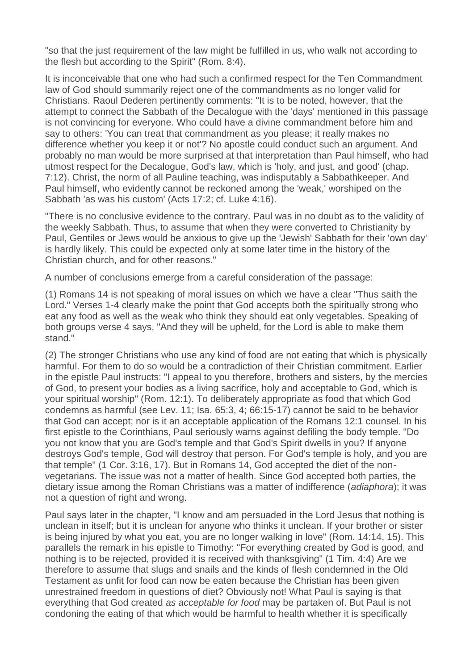"so that the just requirement of the law might be fulfilled in us, who walk not according to the flesh but according to the Spirit" (Rom. 8:4).

It is inconceivable that one who had such a confirmed respect for the Ten Commandment law of God should summarily reject one of the commandments as no longer valid for Christians. Raoul Dederen pertinently comments: "It is to be noted, however, that the attempt to connect the Sabbath of the Decalogue with the 'days' mentioned in this passage is not convincing for everyone. Who could have a divine commandment before him and say to others: 'You can treat that commandment as you please; it really makes no difference whether you keep it or not'? No apostle could conduct such an argument. And probably no man would be more surprised at that interpretation than Paul himself, who had utmost respect for the Decalogue, God's law, which is 'holy, and just, and good' (chap. 7:12). Christ, the norm of all Pauline teaching, was indisputably a Sabbathkeeper. And Paul himself, who evidently cannot be reckoned among the 'weak,' worshiped on the Sabbath 'as was his custom' (Acts 17:2; cf. Luke 4:16).

"There is no conclusive evidence to the contrary. Paul was in no doubt as to the validity of the weekly Sabbath. Thus, to assume that when they were converted to Christianity by Paul, Gentiles or Jews would be anxious to give up the 'Jewish' Sabbath for their 'own day' is hardly likely. This could be expected only at some later time in the history of the Christian church, and for other reasons."

A number of conclusions emerge from a careful consideration of the passage:

(1) Romans 14 is not speaking of moral issues on which we have a clear "Thus saith the Lord." Verses 1-4 clearly make the point that God accepts both the spiritually strong who eat any food as well as the weak who think they should eat only vegetables. Speaking of both groups verse 4 says, "And they will be upheld, for the Lord is able to make them stand."

(2) The stronger Christians who use any kind of food are not eating that which is physically harmful. For them to do so would be a contradiction of their Christian commitment. Earlier in the epistle Paul instructs: "I appeal to you therefore, brothers and sisters, by the mercies of God, to present your bodies as a living sacrifice, holy and acceptable to God, which is your spiritual worship" (Rom. 12:1). To deliberately appropriate as food that which God condemns as harmful (see Lev. 11; Isa. 65:3, 4; 66:15-17) cannot be said to be behavior that God can accept; nor is it an acceptable application of the Romans 12:1 counsel. In his first epistle to the Corinthians, Paul seriously warns against defiling the body temple. "Do you not know that you are God's temple and that God's Spirit dwells in you? If anyone destroys God's temple, God will destroy that person. For God's temple is holy, and you are that temple" (1 Cor. 3:16, 17). But in Romans 14, God accepted the diet of the nonvegetarians. The issue was not a matter of health. Since God accepted both parties, the dietary issue among the Roman Christians was a matter of indifference (*adiaphora*); it was not a question of right and wrong.

Paul says later in the chapter, "I know and am persuaded in the Lord Jesus that nothing is unclean in itself; but it is unclean for anyone who thinks it unclean. If your brother or sister is being injured by what you eat, you are no longer walking in love" (Rom. 14:14, 15). This parallels the remark in his epistle to Timothy: "For everything created by God is good, and nothing is to be rejected, provided it is received with thanksgiving" (1 Tim. 4:4) Are we therefore to assume that slugs and snails and the kinds of flesh condemned in the Old Testament as unfit for food can now be eaten because the Christian has been given unrestrained freedom in questions of diet? Obviously not! What Paul is saying is that everything that God created *as acceptable for food* may be partaken of. But Paul is not condoning the eating of that which would be harmful to health whether it is specifically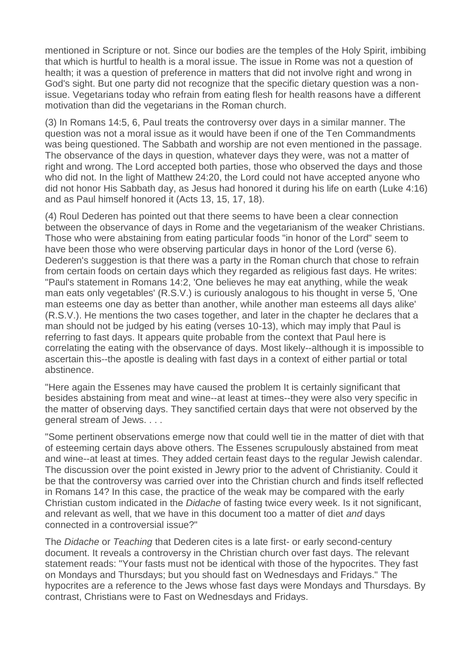mentioned in Scripture or not. Since our bodies are the temples of the Holy Spirit, imbibing that which is hurtful to health is a moral issue. The issue in Rome was not a question of health; it was a question of preference in matters that did not involve right and wrong in God's sight. But one party did not recognize that the specific dietary question was a nonissue. Vegetarians today who refrain from eating flesh for health reasons have a different motivation than did the vegetarians in the Roman church.

(3) In Romans 14:5, 6, Paul treats the controversy over days in a similar manner. The question was not a moral issue as it would have been if one of the Ten Commandments was being questioned. The Sabbath and worship are not even mentioned in the passage. The observance of the days in question, whatever days they were, was not a matter of right and wrong. The Lord accepted both parties, those who observed the days and those who did not. In the light of Matthew 24:20, the Lord could not have accepted anyone who did not honor His Sabbath day, as Jesus had honored it during his life on earth (Luke 4:16) and as Paul himself honored it (Acts 13, 15, 17, 18).

(4) Roul Dederen has pointed out that there seems to have been a clear connection between the observance of days in Rome and the vegetarianism of the weaker Christians. Those who were abstaining from eating particular foods "in honor of the Lord" seem to have been those who were observing particular days in honor of the Lord (verse 6). Dederen's suggestion is that there was a party in the Roman church that chose to refrain from certain foods on certain days which they regarded as religious fast days. He writes: "Paul's statement in Romans 14:2, 'One believes he may eat anything, while the weak man eats only vegetables' (R.S.V.) is curiously analogous to his thought in verse 5, 'One man esteems one day as better than another, while another man esteems all days alike' (R.S.V.). He mentions the two cases together, and later in the chapter he declares that a man should not be judged by his eating (verses 10-13), which may imply that Paul is referring to fast days. It appears quite probable from the context that Paul here is correlating the eating with the observance of days. Most likely--although it is impossible to ascertain this--the apostle is dealing with fast days in a context of either partial or total abstinence.

"Here again the Essenes may have caused the problem It is certainly significant that besides abstaining from meat and wine--at least at times--they were also very specific in the matter of observing days. They sanctified certain days that were not observed by the general stream of Jews. . . .

"Some pertinent observations emerge now that could well tie in the matter of diet with that of esteeming certain days above others. The Essenes scrupulously abstained from meat and wine--at least at times. They added certain feast days to the regular Jewish calendar. The discussion over the point existed in Jewry prior to the advent of Christianity. Could it be that the controversy was carried over into the Christian church and finds itself reflected in Romans 14? In this case, the practice of the weak may be compared with the early Christian custom indicated in the *Didache* of fasting twice every week. Is it not significant, and relevant as well, that we have in this document too a matter of diet *and* days connected in a controversial issue?"

The *Didache* or *Teaching* that Dederen cites is a late first- or early second-century document. It reveals a controversy in the Christian church over fast days. The relevant statement reads: "Your fasts must not be identical with those of the hypocrites. They fast on Mondays and Thursdays; but you should fast on Wednesdays and Fridays." The hypocrites are a reference to the Jews whose fast days were Mondays and Thursdays. By contrast, Christians were to Fast on Wednesdays and Fridays.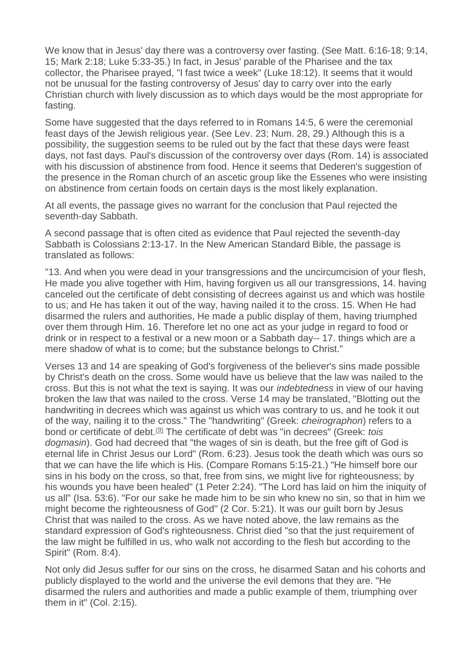We know that in Jesus' day there was a controversy over fasting. (See Matt. 6:16-18: 9:14, 15; Mark 2:18; Luke 5:33-35.) In fact, in Jesus' parable of the Pharisee and the tax collector, the Pharisee prayed, "I fast twice a week" (Luke 18:12). It seems that it would not be unusual for the fasting controversy of Jesus' day to carry over into the early Christian church with lively discussion as to which days would be the most appropriate for fasting.

Some have suggested that the days referred to in Romans 14:5, 6 were the ceremonial feast days of the Jewish religious year. (See Lev. 23; Num. 28, 29.) Although this is a possibility, the suggestion seems to be ruled out by the fact that these days were feast days, not fast days. Paul's discussion of the controversy over days (Rom. 14) is associated with his discussion of abstinence from food. Hence it seems that Dederen's suggestion of the presence in the Roman church of an ascetic group like the Essenes who were insisting on abstinence from certain foods on certain days is the most likely explanation.

At all events, the passage gives no warrant for the conclusion that Paul rejected the seventh-day Sabbath.

A second passage that is often cited as evidence that Paul rejected the seventh-day Sabbath is Colossians 2:13-17. In the New American Standard Bible, the passage is translated as follows:

"13. And when you were dead in your transgressions and the uncircumcision of your flesh, He made you alive together with Him, having forgiven us all our transgressions, 14. having canceled out the certificate of debt consisting of decrees against us and which was hostile to us; and He has taken it out of the way, having nailed it to the cross. 15. When He had disarmed the rulers and authorities, He made a public display of them, having triumphed over them through Him. 16. Therefore let no one act as your judge in regard to food or drink or in respect to a festival or a new moon or a Sabbath day-- 17. things which are a mere shadow of what is to come; but the substance belongs to Christ."

Verses 13 and 14 are speaking of God's forgiveness of the believer's sins made possible by Christ's death on the cross. Some would have us believe that the law was nailed to the cross. But this is not what the text is saying. It was our *indebtedness* in view of our having broken the law that was nailed to the cross. Verse 14 may be translated, "Blotting out the handwriting in decrees which was against us which was contrary to us, and he took it out of the way, nailing it to the cross." The "handwriting" (Greek: *cheirographon*) refers to a bond or certificate of debt.[\(9\)](http://www.sabbathfellowship.org/biblestudies/erwingane/biblestudy_gane_sabbathchng.htm#N_9_) The certificate of debt was "in decrees" (Greek: *tois dogmasin*). God had decreed that "the wages of sin is death, but the free gift of God is eternal life in Christ Jesus our Lord" (Rom. 6:23). Jesus took the death which was ours so that we can have the life which is His. (Compare Romans 5:15-21.) "He himself bore our sins in his body on the cross, so that, free from sins, we might live for righteousness; by his wounds you have been healed" (1 Peter 2:24). "The Lord has laid on him the iniquity of us all" (Isa. 53:6). "For our sake he made him to be sin who knew no sin, so that in him we might become the righteousness of God" (2 Cor. 5:21). It was our guilt born by Jesus Christ that was nailed to the cross. As we have noted above, the law remains as the standard expression of God's righteousness. Christ died "so that the just requirement of the law might be fulfilled in us, who walk not according to the flesh but according to the Spirit" (Rom. 8:4).

Not only did Jesus suffer for our sins on the cross, he disarmed Satan and his cohorts and publicly displayed to the world and the universe the evil demons that they are. "He disarmed the rulers and authorities and made a public example of them, triumphing over them in it" (Col. 2:15).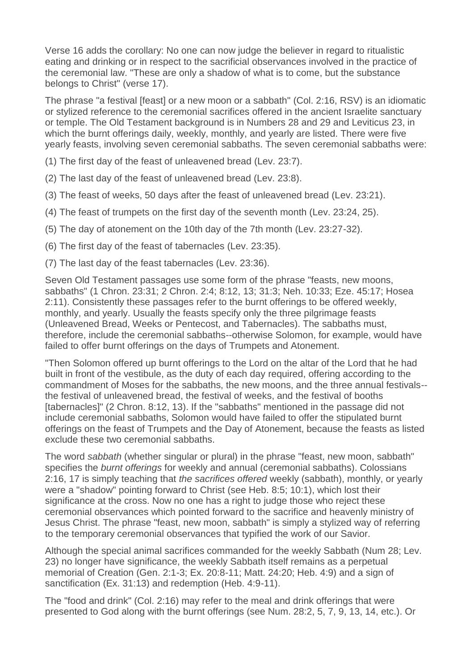Verse 16 adds the corollary: No one can now judge the believer in regard to ritualistic eating and drinking or in respect to the sacrificial observances involved in the practice of the ceremonial law. "These are only a shadow of what is to come, but the substance belongs to Christ" (verse 17).

The phrase "a festival [feast] or a new moon or a sabbath" (Col. 2:16, RSV) is an idiomatic or stylized reference to the ceremonial sacrifices offered in the ancient Israelite sanctuary or temple. The Old Testament background is in Numbers 28 and 29 and Leviticus 23, in which the burnt offerings daily, weekly, monthly, and yearly are listed. There were five yearly feasts, involving seven ceremonial sabbaths. The seven ceremonial sabbaths were:

- (1) The first day of the feast of unleavened bread (Lev. 23:7).
- (2) The last day of the feast of unleavened bread (Lev. 23:8).
- (3) The feast of weeks, 50 days after the feast of unleavened bread (Lev. 23:21).
- (4) The feast of trumpets on the first day of the seventh month (Lev. 23:24, 25).
- (5) The day of atonement on the 10th day of the 7th month (Lev. 23:27-32).
- (6) The first day of the feast of tabernacles (Lev. 23:35).
- (7) The last day of the feast tabernacles (Lev. 23:36).

Seven Old Testament passages use some form of the phrase "feasts, new moons, sabbaths" (1 Chron. 23:31; 2 Chron. 2:4; 8:12, 13; 31:3; Neh. 10:33; Eze. 45:17; Hosea 2:11). Consistently these passages refer to the burnt offerings to be offered weekly, monthly, and yearly. Usually the feasts specify only the three pilgrimage feasts (Unleavened Bread, Weeks or Pentecost, and Tabernacles). The sabbaths must, therefore, include the ceremonial sabbaths--otherwise Solomon, for example, would have failed to offer burnt offerings on the days of Trumpets and Atonement.

"Then Solomon offered up burnt offerings to the Lord on the altar of the Lord that he had built in front of the vestibule, as the duty of each day required, offering according to the commandment of Moses for the sabbaths, the new moons, and the three annual festivals- the festival of unleavened bread, the festival of weeks, and the festival of booths [tabernacles]" (2 Chron. 8:12, 13). If the "sabbaths" mentioned in the passage did not include ceremonial sabbaths, Solomon would have failed to offer the stipulated burnt offerings on the feast of Trumpets and the Day of Atonement, because the feasts as listed exclude these two ceremonial sabbaths.

The word *sabbath* (whether singular or plural) in the phrase "feast, new moon, sabbath" specifies the *burnt offerings* for weekly and annual (ceremonial sabbaths). Colossians 2:16, 17 is simply teaching that *the sacrifices offered* weekly (sabbath), monthly, or yearly were a "shadow" pointing forward to Christ (see Heb. 8:5; 10:1), which lost their significance at the cross. Now no one has a right to judge those who reject these ceremonial observances which pointed forward to the sacrifice and heavenly ministry of Jesus Christ. The phrase "feast, new moon, sabbath" is simply a stylized way of referring to the temporary ceremonial observances that typified the work of our Savior.

Although the special animal sacrifices commanded for the weekly Sabbath (Num 28; Lev. 23) no longer have significance, the weekly Sabbath itself remains as a perpetual memorial of Creation (Gen. 2:1-3; Ex. 20:8-11; Matt. 24:20; Heb. 4:9) and a sign of sanctification (Ex. 31:13) and redemption (Heb. 4:9-11).

The "food and drink" (Col. 2:16) may refer to the meal and drink offerings that were presented to God along with the burnt offerings (see Num. 28:2, 5, 7, 9, 13, 14, etc.). Or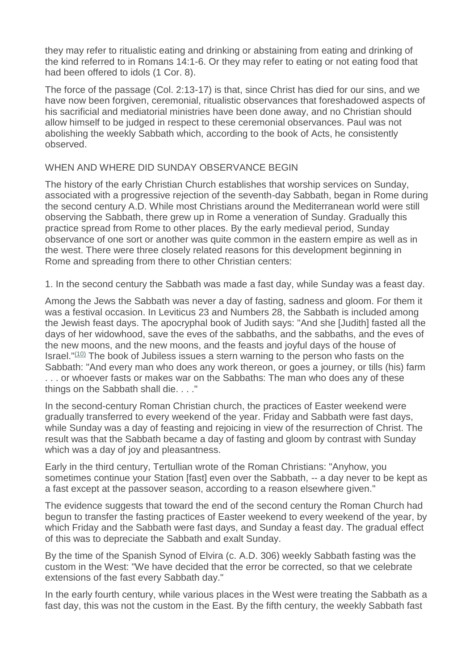they may refer to ritualistic eating and drinking or abstaining from eating and drinking of the kind referred to in Romans 14:1-6. Or they may refer to eating or not eating food that had been offered to idols (1 Cor. 8).

The force of the passage (Col. 2:13-17) is that, since Christ has died for our sins, and we have now been forgiven, ceremonial, ritualistic observances that foreshadowed aspects of his sacrificial and mediatorial ministries have been done away, and no Christian should allow himself to be judged in respect to these ceremonial observances. Paul was not abolishing the weekly Sabbath which, according to the book of Acts, he consistently observed.

## WHEN AND WHERE DID SUNDAY OBSERVANCE BEGIN

The history of the early Christian Church establishes that worship services on Sunday, associated with a progressive rejection of the seventh-day Sabbath, began in Rome during the second century A.D. While most Christians around the Mediterranean world were still observing the Sabbath, there grew up in Rome a veneration of Sunday. Gradually this practice spread from Rome to other places. By the early medieval period, Sunday observance of one sort or another was quite common in the eastern empire as well as in the west. There were three closely related reasons for this development beginning in Rome and spreading from there to other Christian centers:

1. In the second century the Sabbath was made a fast day, while Sunday was a feast day.

Among the Jews the Sabbath was never a day of fasting, sadness and gloom. For them it was a festival occasion. In Leviticus 23 and Numbers 28, the Sabbath is included among the Jewish feast days. The apocryphal book of Judith says: "And she [Judith] fasted all the days of her widowhood, save the eves of the sabbaths, and the sabbaths, and the eves of the new moons, and the new moons, and the feasts and joyful days of the house of Israel. $^{\prime\prime}(10)}$  $^{\prime\prime}(10)}$  $^{\prime\prime}(10)}$  The book of Jubiless issues a stern warning to the person who fasts on the Sabbath: "And every man who does any work thereon, or goes a journey, or tills (his) farm . . . or whoever fasts or makes war on the Sabbaths: The man who does any of these things on the Sabbath shall die. . . ."

In the second-century Roman Christian church, the practices of Easter weekend were gradually transferred to every weekend of the year. Friday and Sabbath were fast days, while Sunday was a day of feasting and rejoicing in view of the resurrection of Christ. The result was that the Sabbath became a day of fasting and gloom by contrast with Sunday which was a day of joy and pleasantness.

Early in the third century, Tertullian wrote of the Roman Christians: "Anyhow, you sometimes continue your Station [fast] even over the Sabbath, -- a day never to be kept as a fast except at the passover season, according to a reason elsewhere given."

The evidence suggests that toward the end of the second century the Roman Church had begun to transfer the fasting practices of Easter weekend to every weekend of the year, by which Friday and the Sabbath were fast days, and Sunday a feast day. The gradual effect of this was to depreciate the Sabbath and exalt Sunday.

By the time of the Spanish Synod of Elvira (c. A.D. 306) weekly Sabbath fasting was the custom in the West: "We have decided that the error be corrected, so that we celebrate extensions of the fast every Sabbath day."

In the early fourth century, while various places in the West were treating the Sabbath as a fast day, this was not the custom in the East. By the fifth century, the weekly Sabbath fast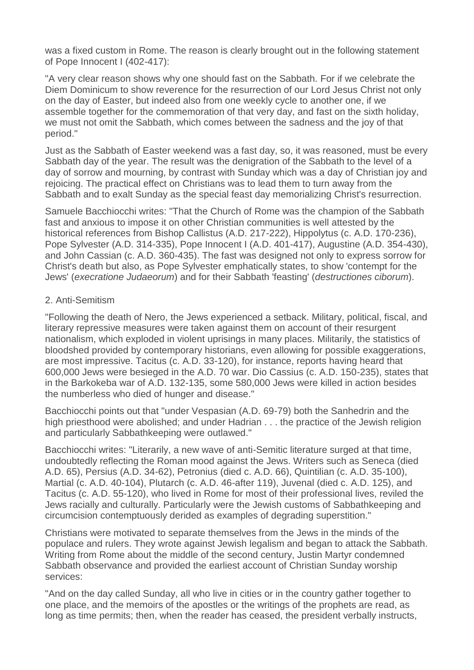was a fixed custom in Rome. The reason is clearly brought out in the following statement of Pope Innocent I (402-417):

"A very clear reason shows why one should fast on the Sabbath. For if we celebrate the Diem Dominicum to show reverence for the resurrection of our Lord Jesus Christ not only on the day of Easter, but indeed also from one weekly cycle to another one, if we assemble together for the commemoration of that very day, and fast on the sixth holiday, we must not omit the Sabbath, which comes between the sadness and the joy of that period."

Just as the Sabbath of Easter weekend was a fast day, so, it was reasoned, must be every Sabbath day of the year. The result was the denigration of the Sabbath to the level of a day of sorrow and mourning, by contrast with Sunday which was a day of Christian joy and rejoicing. The practical effect on Christians was to lead them to turn away from the Sabbath and to exalt Sunday as the special feast day memorializing Christ's resurrection.

Samuele Bacchiocchi writes: "That the Church of Rome was the champion of the Sabbath fast and anxious to impose it on other Christian communities is well attested by the historical references from Bishop Callistus (A.D. 217-222), Hippolytus (c. A.D. 170-236), Pope Sylvester (A.D. 314-335), Pope Innocent I (A.D. 401-417), Augustine (A.D. 354-430), and John Cassian (c. A.D. 360-435). The fast was designed not only to express sorrow for Christ's death but also, as Pope Sylvester emphatically states, to show 'contempt for the Jews' (*execratione Judaeorum*) and for their Sabbath 'feasting' (*destructiones ciborum*).

## 2. Anti-Semitism

"Following the death of Nero, the Jews experienced a setback. Military, political, fiscal, and literary repressive measures were taken against them on account of their resurgent nationalism, which exploded in violent uprisings in many places. Militarily, the statistics of bloodshed provided by contemporary historians, even allowing for possible exaggerations, are most impressive. Tacitus (c. A.D. 33-120), for instance, reports having heard that 600,000 Jews were besieged in the A.D. 70 war. Dio Cassius (c. A.D. 150-235), states that in the Barkokeba war of A.D. 132-135, some 580,000 Jews were killed in action besides the numberless who died of hunger and disease."

Bacchiocchi points out that "under Vespasian (A.D. 69-79) both the Sanhedrin and the high priesthood were abolished; and under Hadrian . . . the practice of the Jewish religion and particularly Sabbathkeeping were outlawed."

Bacchiocchi writes: "Literarily, a new wave of anti-Semitic literature surged at that time, undoubtedly reflecting the Roman mood against the Jews. Writers such as Seneca (died A.D. 65), Persius (A.D. 34-62), Petronius (died c. A.D. 66), Quintilian (c. A.D. 35-100), Martial (c. A.D. 40-104), Plutarch (c. A.D. 46-after 119), Juvenal (died c. A.D. 125), and Tacitus (c. A.D. 55-120), who lived in Rome for most of their professional lives, reviled the Jews racially and culturally. Particularly were the Jewish customs of Sabbathkeeping and circumcision contemptuously derided as examples of degrading superstition."

Christians were motivated to separate themselves from the Jews in the minds of the populace and rulers. They wrote against Jewish legalism and began to attack the Sabbath. Writing from Rome about the middle of the second century, Justin Martyr condemned Sabbath observance and provided the earliest account of Christian Sunday worship services:

"And on the day called Sunday, all who live in cities or in the country gather together to one place, and the memoirs of the apostles or the writings of the prophets are read, as long as time permits; then, when the reader has ceased, the president verbally instructs,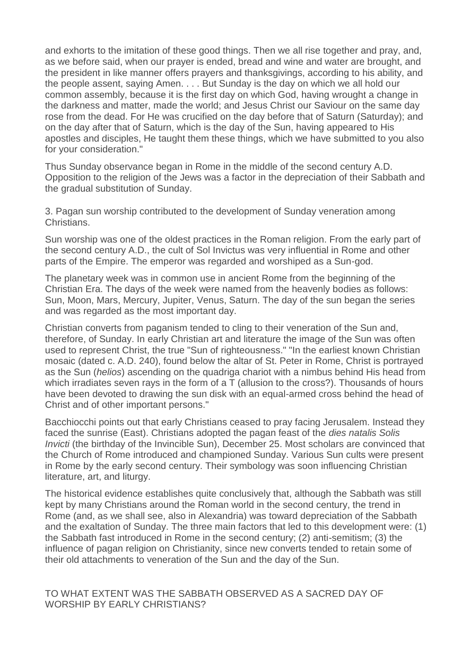and exhorts to the imitation of these good things. Then we all rise together and pray, and, as we before said, when our prayer is ended, bread and wine and water are brought, and the president in like manner offers prayers and thanksgivings, according to his ability, and the people assent, saying Amen. . . . But Sunday is the day on which we all hold our common assembly, because it is the first day on which God, having wrought a change in the darkness and matter, made the world; and Jesus Christ our Saviour on the same day rose from the dead. For He was crucified on the day before that of Saturn (Saturday); and on the day after that of Saturn, which is the day of the Sun, having appeared to His apostles and disciples, He taught them these things, which we have submitted to you also for your consideration."

Thus Sunday observance began in Rome in the middle of the second century A.D. Opposition to the religion of the Jews was a factor in the depreciation of their Sabbath and the gradual substitution of Sunday.

3. Pagan sun worship contributed to the development of Sunday veneration among Christians.

Sun worship was one of the oldest practices in the Roman religion. From the early part of the second century A.D., the cult of Sol Invictus was very influential in Rome and other parts of the Empire. The emperor was regarded and worshiped as a Sun-god.

The planetary week was in common use in ancient Rome from the beginning of the Christian Era. The days of the week were named from the heavenly bodies as follows: Sun, Moon, Mars, Mercury, Jupiter, Venus, Saturn. The day of the sun began the series and was regarded as the most important day.

Christian converts from paganism tended to cling to their veneration of the Sun and, therefore, of Sunday. In early Christian art and literature the image of the Sun was often used to represent Christ, the true "Sun of righteousness." "In the earliest known Christian mosaic (dated c. A.D. 240), found below the altar of St. Peter in Rome, Christ is portrayed as the Sun (*helios*) ascending on the quadriga chariot with a nimbus behind His head from which irradiates seven rays in the form of a T (allusion to the cross?). Thousands of hours have been devoted to drawing the sun disk with an equal-armed cross behind the head of Christ and of other important persons."

Bacchiocchi points out that early Christians ceased to pray facing Jerusalem. Instead they faced the sunrise (East). Christians adopted the pagan feast of the *dies natalis Solis Invicti* (the birthday of the Invincible Sun), December 25. Most scholars are convinced that the Church of Rome introduced and championed Sunday. Various Sun cults were present in Rome by the early second century. Their symbology was soon influencing Christian literature, art, and liturgy.

The historical evidence establishes quite conclusively that, although the Sabbath was still kept by many Christians around the Roman world in the second century, the trend in Rome (and, as we shall see, also in Alexandria) was toward depreciation of the Sabbath and the exaltation of Sunday. The three main factors that led to this development were: (1) the Sabbath fast introduced in Rome in the second century; (2) anti-semitism; (3) the influence of pagan religion on Christianity, since new converts tended to retain some of their old attachments to veneration of the Sun and the day of the Sun.

TO WHAT EXTENT WAS THE SABBATH OBSERVED AS A SACRED DAY OF WORSHIP BY EARLY CHRISTIANS?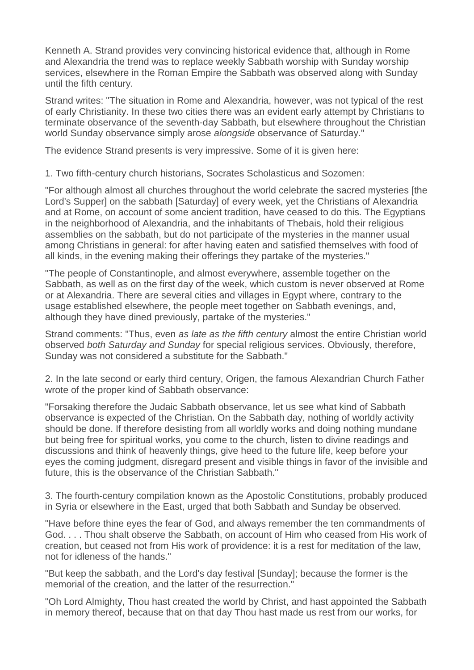Kenneth A. Strand provides very convincing historical evidence that, although in Rome and Alexandria the trend was to replace weekly Sabbath worship with Sunday worship services, elsewhere in the Roman Empire the Sabbath was observed along with Sunday until the fifth century.

Strand writes: "The situation in Rome and Alexandria, however, was not typical of the rest of early Christianity. In these two cities there was an evident early attempt by Christians to terminate observance of the seventh-day Sabbath, but elsewhere throughout the Christian world Sunday observance simply arose *alongside* observance of Saturday."

The evidence Strand presents is very impressive. Some of it is given here:

1. Two fifth-century church historians, Socrates Scholasticus and Sozomen:

"For although almost all churches throughout the world celebrate the sacred mysteries [the Lord's Supper] on the sabbath [Saturday] of every week, yet the Christians of Alexandria and at Rome, on account of some ancient tradition, have ceased to do this. The Egyptians in the neighborhood of Alexandria, and the inhabitants of Thebais, hold their religious assemblies on the sabbath, but do not participate of the mysteries in the manner usual among Christians in general: for after having eaten and satisfied themselves with food of all kinds, in the evening making their offerings they partake of the mysteries."

"The people of Constantinople, and almost everywhere, assemble together on the Sabbath, as well as on the first day of the week, which custom is never observed at Rome or at Alexandria. There are several cities and villages in Egypt where, contrary to the usage established elsewhere, the people meet together on Sabbath evenings, and, although they have dined previously, partake of the mysteries."

Strand comments: "Thus, even *as late as the fifth century* almost the entire Christian world observed *both Saturday and Sunday* for special religious services. Obviously, therefore, Sunday was not considered a substitute for the Sabbath."

2. In the late second or early third century, Origen, the famous Alexandrian Church Father wrote of the proper kind of Sabbath observance:

"Forsaking therefore the Judaic Sabbath observance, let us see what kind of Sabbath observance is expected of the Christian. On the Sabbath day, nothing of worldly activity should be done. If therefore desisting from all worldly works and doing nothing mundane but being free for spiritual works, you come to the church, listen to divine readings and discussions and think of heavenly things, give heed to the future life, keep before your eyes the coming judgment, disregard present and visible things in favor of the invisible and future, this is the observance of the Christian Sabbath."

3. The fourth-century compilation known as the Apostolic Constitutions, probably produced in Syria or elsewhere in the East, urged that both Sabbath and Sunday be observed.

"Have before thine eyes the fear of God, and always remember the ten commandments of God. . . . Thou shalt observe the Sabbath, on account of Him who ceased from His work of creation, but ceased not from His work of providence: it is a rest for meditation of the law, not for idleness of the hands."

"But keep the sabbath, and the Lord's day festival [Sunday]; because the former is the memorial of the creation, and the latter of the resurrection."

"Oh Lord Almighty, Thou hast created the world by Christ, and hast appointed the Sabbath in memory thereof, because that on that day Thou hast made us rest from our works, for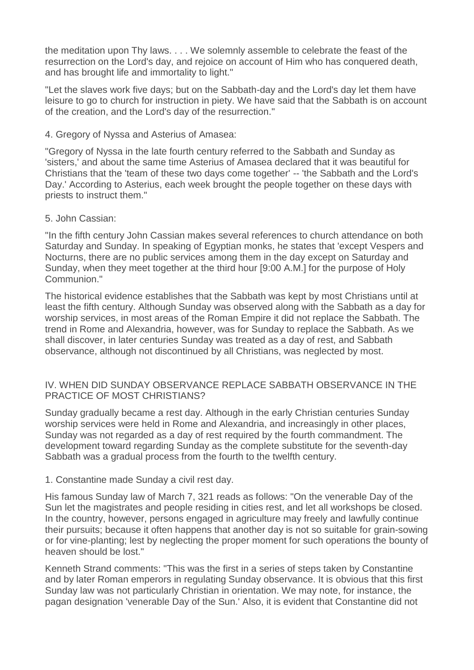the meditation upon Thy laws. . . . We solemnly assemble to celebrate the feast of the resurrection on the Lord's day, and rejoice on account of Him who has conquered death, and has brought life and immortality to light."

"Let the slaves work five days; but on the Sabbath-day and the Lord's day let them have leisure to go to church for instruction in piety. We have said that the Sabbath is on account of the creation, and the Lord's day of the resurrection."

#### 4. Gregory of Nyssa and Asterius of Amasea:

"Gregory of Nyssa in the late fourth century referred to the Sabbath and Sunday as 'sisters,' and about the same time Asterius of Amasea declared that it was beautiful for Christians that the 'team of these two days come together' -- 'the Sabbath and the Lord's Day.' According to Asterius, each week brought the people together on these days with priests to instruct them."

#### 5. John Cassian:

"In the fifth century John Cassian makes several references to church attendance on both Saturday and Sunday. In speaking of Egyptian monks, he states that 'except Vespers and Nocturns, there are no public services among them in the day except on Saturday and Sunday, when they meet together at the third hour [9:00 A.M.] for the purpose of Holy Communion."

The historical evidence establishes that the Sabbath was kept by most Christians until at least the fifth century. Although Sunday was observed along with the Sabbath as a day for worship services, in most areas of the Roman Empire it did not replace the Sabbath. The trend in Rome and Alexandria, however, was for Sunday to replace the Sabbath. As we shall discover, in later centuries Sunday was treated as a day of rest, and Sabbath observance, although not discontinued by all Christians, was neglected by most.

## IV. WHEN DID SUNDAY OBSERVANCE REPLACE SABBATH OBSERVANCE IN THE PRACTICE OF MOST CHRISTIANS?

Sunday gradually became a rest day. Although in the early Christian centuries Sunday worship services were held in Rome and Alexandria, and increasingly in other places, Sunday was not regarded as a day of rest required by the fourth commandment. The development toward regarding Sunday as the complete substitute for the seventh-day Sabbath was a gradual process from the fourth to the twelfth century.

## 1. Constantine made Sunday a civil rest day.

His famous Sunday law of March 7, 321 reads as follows: "On the venerable Day of the Sun let the magistrates and people residing in cities rest, and let all workshops be closed. In the country, however, persons engaged in agriculture may freely and lawfully continue their pursuits; because it often happens that another day is not so suitable for grain-sowing or for vine-planting; lest by neglecting the proper moment for such operations the bounty of heaven should be lost."

Kenneth Strand comments: "This was the first in a series of steps taken by Constantine and by later Roman emperors in regulating Sunday observance. It is obvious that this first Sunday law was not particularly Christian in orientation. We may note, for instance, the pagan designation 'venerable Day of the Sun.' Also, it is evident that Constantine did not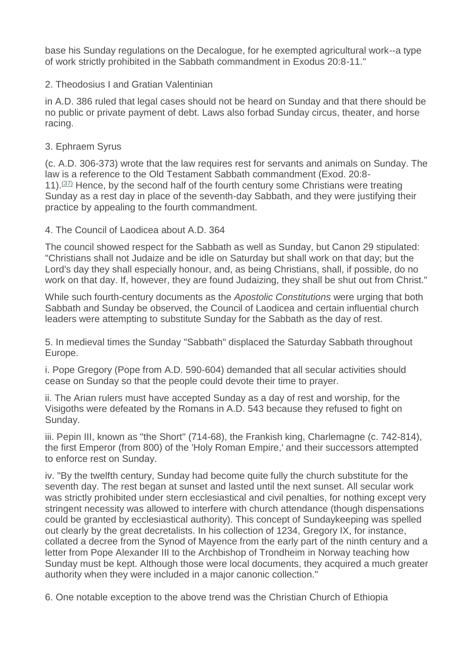base his Sunday regulations on the Decalogue, for he exempted agricultural work--a type of work strictly prohibited in the Sabbath commandment in Exodus 20:8-11."

# 2. Theodosius I and Gratian Valentinian

in A.D. 386 ruled that legal cases should not be heard on Sunday and that there should be no public or private payment of debt. Laws also forbad Sunday circus, theater, and horse racing.

## 3. Ephraem Syrus

(c. A.D. 306-373) wrote that the law requires rest for servants and animals on Sunday. The law is a reference to the Old Testament Sabbath commandment (Exod. 20:8- 11). $(37)$  Hence, by the second half of the fourth century some Christians were treating Sunday as a rest day in place of the seventh-day Sabbath, and they were justifying their practice by appealing to the fourth commandment.

## 4. The Council of Laodicea about A.D. 364

The council showed respect for the Sabbath as well as Sunday, but Canon 29 stipulated: "Christians shall not Judaize and be idle on Saturday but shall work on that day; but the Lord's day they shall especially honour, and, as being Christians, shall, if possible, do no work on that day. If, however, they are found Judaizing, they shall be shut out from Christ."

While such fourth-century documents as the *Apostolic Constitutions* were urging that both Sabbath and Sunday be observed, the Council of Laodicea and certain influential church leaders were attempting to substitute Sunday for the Sabbath as the day of rest.

5. In medieval times the Sunday "Sabbath" displaced the Saturday Sabbath throughout Europe.

i. Pope Gregory (Pope from A.D. 590-604) demanded that all secular activities should cease on Sunday so that the people could devote their time to prayer.

ii. The Arian rulers must have accepted Sunday as a day of rest and worship, for the Visigoths were defeated by the Romans in A.D. 543 because they refused to fight on Sunday.

iii. Pepin III, known as "the Short" (714-68), the Frankish king, Charlemagne (c. 742-814), the first Emperor (from 800) of the 'Holy Roman Empire,' and their successors attempted to enforce rest on Sunday.

iv. "By the twelfth century, Sunday had become quite fully the church substitute for the seventh day. The rest began at sunset and lasted until the next sunset. All secular work was strictly prohibited under stern ecclesiastical and civil penalties, for nothing except very stringent necessity was allowed to interfere with church attendance (though dispensations could be granted by ecclesiastical authority). This concept of Sundaykeeping was spelled out clearly by the great decretalists. In his collection of 1234, Gregory IX, for instance, collated a decree from the Synod of Mayence from the early part of the ninth century and a letter from Pope Alexander III to the Archbishop of Trondheim in Norway teaching how Sunday must be kept. Although those were local documents, they acquired a much greater authority when they were included in a major canonic collection."

6. One notable exception to the above trend was the Christian Church of Ethiopia